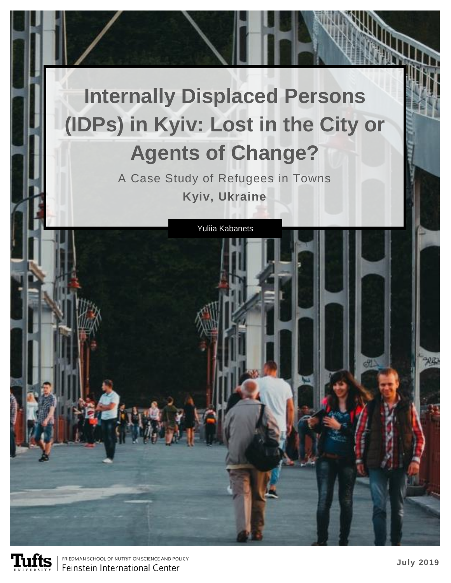# **Internally Displaced Persons (IDPs) in Kyiv: Lost in the City or Agents of Change?**

A Case Study of Refugees in Towns **Kyiv, Ukraine**





FRIEDMAN SCHOOL OF NUTRITION SCIENCE AND POLICY Feinstein International Center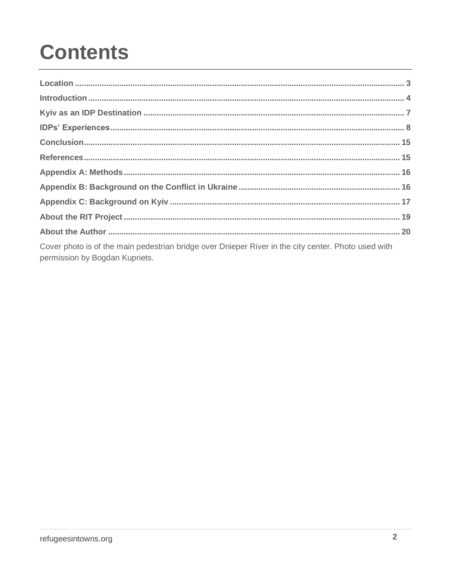## **Contents**

| Cover photo is of the main pedestrian bridge over Dnieper River in the city center. Photo used with<br>permission by Bogdan Kupriets. |  |
|---------------------------------------------------------------------------------------------------------------------------------------|--|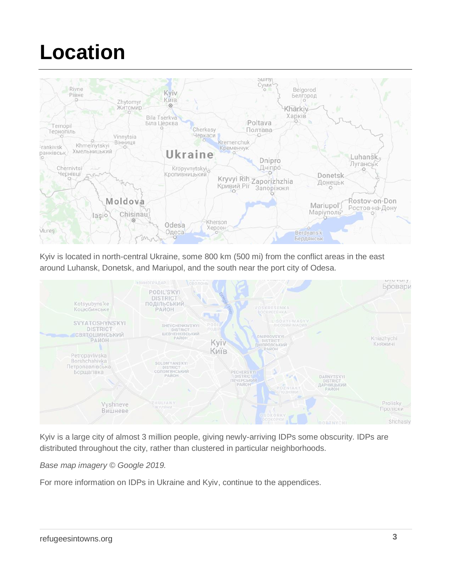## **Location**



Kyiv is located in north-central Ukraine, some 800 km (500 mi) from the conflict areas in the east around Luhansk, Donetsk, and Mariupol, and the south near the port city of Odesa.



Kyiv is a large city of almost 3 million people, giving newly-arriving IDPs some obscurity. IDPs are distributed throughout the city, rather than clustered in particular neighborhoods.

*Base map imagery © Google 2019.*

For more information on IDPs in Ukraine and Kyiv, continue to the appendices.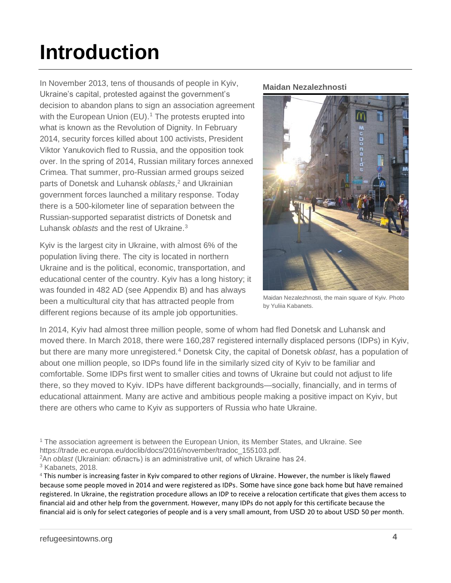## **Introduction**

In November 2013, tens of thousands of people in Kyiv, Ukraine's capital, protested against the government's decision to abandon plans to sign an association agreement with the European Union (EU).<sup>1</sup> The protests erupted into what is known as the Revolution of Dignity. In February 2014, security forces killed about 100 activists, President Viktor Yanukovich fled to Russia, and the opposition took over. In the spring of 2014, Russian military forces annexed Crimea. That summer, pro-Russian armed groups seized parts of Donetsk and Luhansk *oblasts*, <sup>2</sup> and Ukrainian government forces launched a military response. Today there is a 500-kilometer line of separation between the Russian-supported separatist districts of Donetsk and Luhansk *oblasts* and the rest of Ukraine.<sup>3</sup>

Kyiv is the largest city in Ukraine, with almost 6% of the population living there. The city is located in northern Ukraine and is the political, economic, transportation, and educational center of the country. Kyiv has a long history; it was founded in 482 AD (see Appendix B) and has always been a multicultural city that has attracted people from different regions because of its ample job opportunities.

#### **Maidan Nezalezhnosti**



Maidan Nezalezhnosti, the main square of Kyiv. Photo by Yuliia Kabanets.

In 2014, Kyiv had almost three million people, some of whom had fled Donetsk and Luhansk and moved there. In March 2018, there were 160,287 registered internally displaced persons (IDPs) in Kyiv, but there are many more unregistered.<sup>4</sup> Donetsk City, the capital of Donetsk *oblast*, has a population of about one million people, so IDPs found life in the similarly sized city of Kyiv to be familiar and comfortable. Some IDPs first went to smaller cities and towns of Ukraine but could not adjust to life there, so they moved to Kyiv. IDPs have different backgrounds—socially, financially, and in terms of educational attainment. Many are active and ambitious people making a positive impact on Kyiv, but there are others who came to Kyiv as supporters of Russia who hate Ukraine.

<sup>1</sup> The association agreement is between the European Union, its Member States, and Ukraine. See https://trade.ec.europa.eu/doclib/docs/2016/november/tradoc\_155103.pdf.

<sup>2</sup>An *oblast* (Ukrainian: область) is an administrative unit, of which Ukraine has 24.

<sup>3</sup> Kabanets, 2018.

<sup>4</sup> This number is increasing faster in Kyiv compared to other regions of Ukraine. However, the number is likely flawed because some people moved in 2014 and were registered as IDPs. Some have since gone back home but have remained registered. In Ukraine, the registration procedure allows an IDP to receive a relocation certificate that gives them access to financial aid and other help from the government. However, many IDPs do not apply for this certificate because the financial aid is only for select categories of people and is a very small amount, from USD 20 to about USD 50 per month.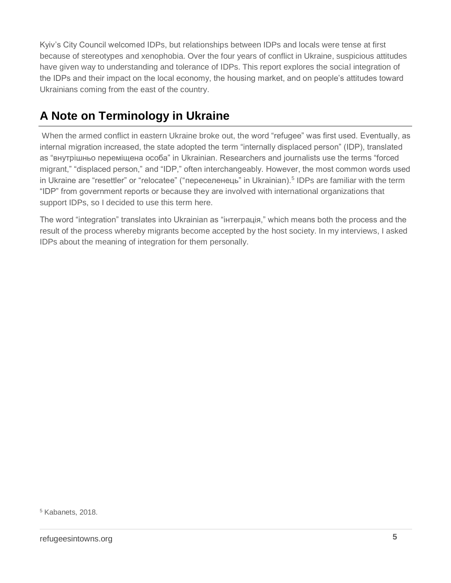Kyiv's City Council welcomed IDPs, but relationships between IDPs and locals were tense at first because of stereotypes and xenophobia. Over the four years of conflict in Ukraine, suspicious attitudes have given way to understanding and tolerance of IDPs. This report explores the social integration of the IDPs and their impact on the local economy, the housing market, and on people's attitudes toward Ukrainians coming from the east of the country.

### **A Note on Terminology in Ukraine**

When the armed conflict in eastern Ukraine broke out, the word "refugee" was first used. Eventually, as internal migration increased, the state adopted the term "internally displaced person" (IDP), translated as "внутрішньо переміщена особа" in Ukrainian. Researchers and journalists use the terms "forced migrant," "displaced person," and "IDP," often interchangeably. However, the most common words used in Ukraine are "resettler" or "relocatee" ("переселенець" in Ukrainian).<sup>5</sup> IDPs are familiar with the term "IDP" from government reports or because they are involved with international organizations that support IDPs, so I decided to use this term here.

The word "integration" translates into Ukrainian as "інтеграція," which means both the process and the result of the process whereby migrants become accepted by the host society. In my interviews, I asked IDPs about the meaning of integration for them personally.

<sup>5</sup> Kabanets, 2018.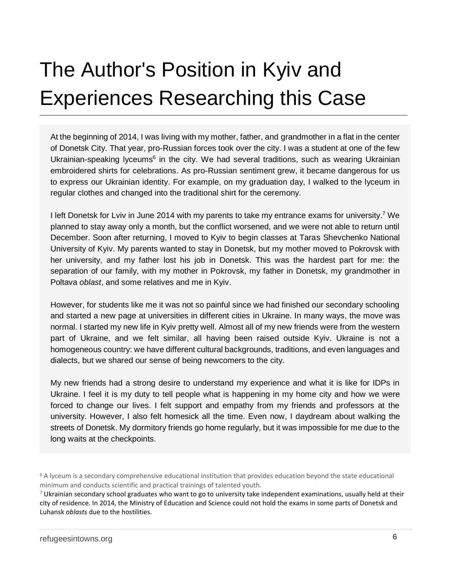## The Author's Position in Kyiv and Experiences Researching this Case

At the beginning of 2014, I was living with my mother, father, and grandmother in a flat in the center of Donetsk City. That year, pro-Russian forces took over the city. I was a student at one of the few Ukrainian-speaking lyceums<sup>6</sup> in the city. We had several traditions, such as wearing Ukrainian embroidered shirts for celebrations. As pro-Russian sentiment grew, it became dangerous for us to express our Ukrainian identity. For example, on my graduation day, I walked to the lyceum in regular clothes and changed into the traditional shirt for the ceremony.

I left Donetsk for Lviv in June 2014 with my parents to take my entrance exams for university.<sup>7</sup> We planned to stay away only a month, but the conflict worsened, and we were not able to return until December. Soon after returning, I moved to Kyiv to begin classes at Taras Shevchenko National University of Kyiv. My parents wanted to stay in Donetsk, but my mother moved to Pokrovsk with her university, and my father lost his job in Donetsk. This was the hardest part for me: the separation of our family, with my mother in Pokrovsk, my father in Donetsk, my grandmother in Poltava *oblast*, and some relatives and me in Kyiv.

However, for students like me it was not so painful since we had finished our secondary schooling and started a new page at universities in different cities in Ukraine. In many ways, the move was normal. I started my new life in Kyiv pretty well. Almost all of my new friends were from the western part of Ukraine, and we felt similar, all having been raised outside Kyiv. Ukraine is not a homogeneous country: we have different cultural backgrounds, traditions, and even languages and dialects, but we shared our sense of being newcomers to the city.

My new friends had a strong desire to understand my experience and what it is like for IDPs in Ukraine. I feel it is my duty to tell people what is happening in my home city and how we were forced to change our lives. I felt support and empathy from my friends and professors at the university. However, I also felt homesick all the time. Even now, I daydream about walking the streets of Donetsk. My dormitory friends go home regularly, but it was impossible for me due to the long waits at the checkpoints.

<sup>6</sup> A lyceum is a secondary comprehensive educational institution that provides education beyond the state educational minimum and conducts scientific and practical trainings of talented youth.

 $7$  Ukrainian secondary school graduates who want to go to university take independent examinations, usually held at their city of residence. In 2014, the Ministry of Education and Science could not hold the exams in some parts of Donetsk and Luhansk *oblasts* due to the hostilities.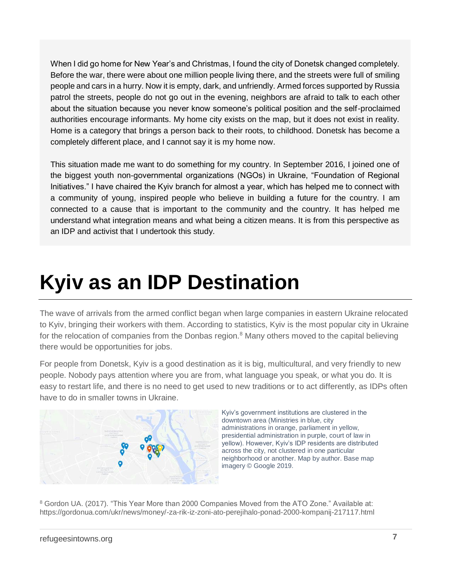When I did go home for New Year's and Christmas, I found the city of Donetsk changed completely. Before the war, there were about one million people living there, and the streets were full of smiling people and cars in a hurry. Now it is empty, dark, and unfriendly. Armed forces supported by Russia patrol the streets, people do not go out in the evening, neighbors are afraid to talk to each other about the situation because you never know someone's political position and the self-proclaimed authorities encourage informants. My home city exists on the map, but it does not exist in reality. Home is a category that brings a person back to their roots, to childhood. Donetsk has become a completely different place, and I cannot say it is my home now.

This situation made me want to do something for my country. In September 2016, I joined one of the biggest youth non-governmental organizations (NGOs) in Ukraine, "Foundation of Regional Initiatives." I have chaired the Kyiv branch for almost a year, which has helped me to connect with a community of young, inspired people who believe in building a future for the country. I am connected to a cause that is important to the community and the country. It has helped me understand what integration means and what being a citizen means. It is from this perspective as an IDP and activist that I undertook this study.

## **Kyiv as an IDP Destination**

The wave of arrivals from the armed conflict began when large companies in eastern Ukraine relocated to Kyiv, bringing their workers with them. According to statistics, Kyiv is the most popular city in Ukraine for the relocation of companies from the Donbas region.<sup>8</sup> Many others moved to the capital believing there would be opportunities for jobs.

For people from Donetsk, Kyiv is a good destination as it is big, multicultural, and very friendly to new people. Nobody pays attention where you are from, what language you speak, or what you do. It is easy to restart life, and there is no need to get used to new traditions or to act differently, as IDPs often have to do in smaller towns in Ukraine.



Kyiv's government institutions are clustered in the downtown area (Ministries in blue, city administrations in orange, parliament in yellow, presidential administration in purple, court of law in yellow). However, Kyiv's IDP residents are distributed across the city, not clustered in one particular neighborhood or another. Map by author. Base map imagery © Google 2019.

<sup>8</sup> Gordon UA. (2017). "This Year More than 2000 Companies Moved from the ATO Zone." Available at: https://gordonua.com/ukr/news/money/-za-rik-iz-zoni-ato-perejihalo-ponad-2000-kompanij-217117.html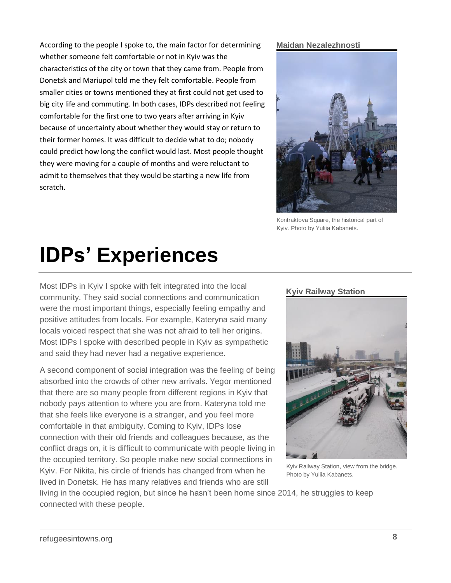According to the people I spoke to, the main factor for determining whether someone felt comfortable or not in Kyiv was the characteristics of the city or town that they came from. People from Donetsk and Mariupol told me they felt comfortable. People from smaller cities or towns mentioned they at first could not get used to big city life and commuting. In both cases, IDPs described not feeling comfortable for the first one to two years after arriving in Kyiv because of uncertainty about whether they would stay or return to their former homes. It was difficult to decide what to do; nobody could predict how long the conflict would last. Most people thought they were moving for a couple of months and were reluctant to admit to themselves that they would be starting a new life from scratch.

#### **Maidan Nezalezhnosti**



Kontraktova Square, the historical part of Kyiv. Photo by Yuliia Kabanets.

## **IDPs' Experiences**

Most IDPs in Kyiv I spoke with felt integrated into the local community. They said social connections and communication were the most important things, especially feeling empathy and positive attitudes from locals. For example, Kateryna said many locals voiced respect that she was not afraid to tell her origins. Most IDPs I spoke with described people in Kyiv as sympathetic and said they had never had a negative experience.

A second component of social integration was the feeling of being absorbed into the crowds of other new arrivals. Yegor mentioned that there are so many people from different regions in Kyiv that nobody pays attention to where you are from. Kateryna told me that she feels like everyone is a stranger, and you feel more comfortable in that ambiguity. Coming to Kyiv, IDPs lose connection with their old friends and colleagues because, as the conflict drags on, it is difficult to communicate with people living in the occupied territory. So people make new social connections in Kyiv. For Nikita, his circle of friends has changed from when he lived in Donetsk. He has many relatives and friends who are still

#### **Kyiv Railway Station**



Kyiv Railway Station, view from the bridge. Photo by Yuliia Kabanets.

living in the occupied region, but since he hasn't been home since 2014, he struggles to keep connected with these people.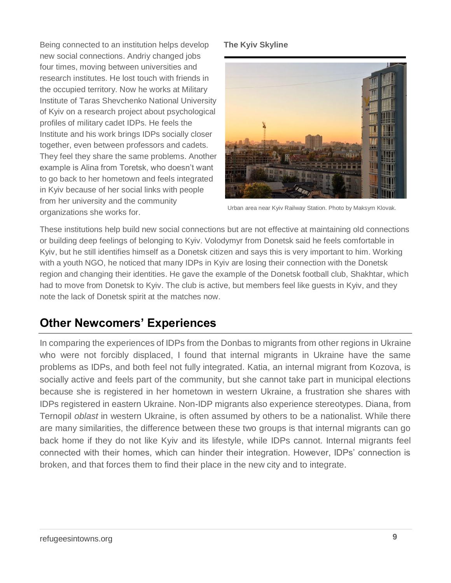Being connected to an institution helps develop new social connections. Andriy changed jobs four times, moving between universities and research institutes. He lost touch with friends in the occupied territory. Now he works at Military Institute of Taras Shevchenko National University of Kyiv on a research project about psychological profiles of military cadet IDPs. He feels the Institute and his work brings IDPs socially closer together, even between professors and cadets. They feel they share the same problems. Another example is Alina from Toretsk, who doesn't want to go back to her hometown and feels integrated in Kyiv because of her social links with people from her university and the community organizations she works for.

#### **The Kyiv Skyline**



Urban area near Kyiv Railway Station. Photo by Maksym Klovak.

These institutions help build new social connections but are not effective at maintaining old connections or building deep feelings of belonging to Kyiv. Volodymyr from Donetsk said he feels comfortable in Kyiv, but he still identifies himself as a Donetsk citizen and says this is very important to him. Working with a youth NGO, he noticed that many IDPs in Kyiv are losing their connection with the Donetsk region and changing their identities. He gave the example of the Donetsk football club, Shakhtar, which had to move from Donetsk to Kyiv. The club is active, but members feel like guests in Kyiv, and they note the lack of Donetsk spirit at the matches now.

### **Other Newcomers' Experiences**

In comparing the experiences of IDPs from the Donbas to migrants from other regions in Ukraine who were not forcibly displaced, I found that internal migrants in Ukraine have the same problems as IDPs, and both feel not fully integrated. Katia, an internal migrant from Kozova, is socially active and feels part of the community, but she cannot take part in municipal elections because she is registered in her hometown in western Ukraine, a frustration she shares with IDPs registered in eastern Ukraine. Non-IDP migrants also experience stereotypes. Diana, from Ternopil *oblast* in western Ukraine, is often assumed by others to be a nationalist. While there are many similarities, the difference between these two groups is that internal migrants can go back home if they do not like Kyiv and its lifestyle, while IDPs cannot. Internal migrants feel connected with their homes, which can hinder their integration. However, IDPs' connection is broken, and that forces them to find their place in the new city and to integrate.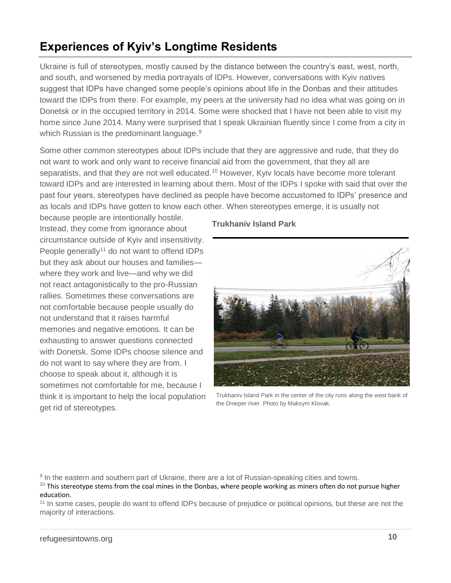### **Experiences of Kyiv's Longtime Residents**

Ukraine is full of stereotypes, mostly caused by the distance between the country's east, west, north, and south, and worsened by media portrayals of IDPs. However, conversations with Kyiv natives suggest that IDPs have changed some people's opinions about life in the Donbas and their attitudes toward the IDPs from there. For example, my peers at the university had no idea what was going on in Donetsk or in the occupied territory in 2014. Some were shocked that I have not been able to visit my home since June 2014. Many were surprised that I speak Ukrainian fluently since I come from a city in which Russian is the predominant language.<sup>9</sup>

Some other common stereotypes about IDPs include that they are aggressive and rude, that they do not want to work and only want to receive financial aid from the government, that they all are separatists, and that they are not well educated.<sup>10</sup> However, Kyiv locals have become more tolerant toward IDPs and are interested in learning about them. Most of the IDPs I spoke with said that over the past four years, stereotypes have declined as people have become accustomed to IDPs' presence and as locals and IDPs have gotten to know each other. When stereotypes emerge, it is usually not

because people are intentionally hostile. Instead, they come from ignorance about circumstance outside of Kyiv and insensitivity. People generally<sup>11</sup> do not want to offend IDPs but they ask about our houses and families where they work and live—and why we did not react antagonistically to the pro-Russian rallies. Sometimes these conversations are not comfortable because people usually do not understand that it raises harmful memories and negative emotions. It can be exhausting to answer questions connected with Donetsk. Some IDPs choose silence and do not want to say where they are from. I choose to speak about it, although it is sometimes not comfortable for me, because I think it is important to help the local population get rid of stereotypes.

#### **Trukhaniv Island Park**



Trukhaniv Island Park in the center of the city runs along the west bank of the Dnieper river. Photo by Maksym Klovak.

<sup>9</sup> In the eastern and southern part of Ukraine, there are a lot of Russian-speaking cities and towns.

 $10$  This stereotype stems from the coal mines in the Donbas, where people working as miners often do not pursue higher education.

<sup>11</sup> In some cases, people do want to offend IDPs because of prejudice or political opinions, but these are not the majority of interactions.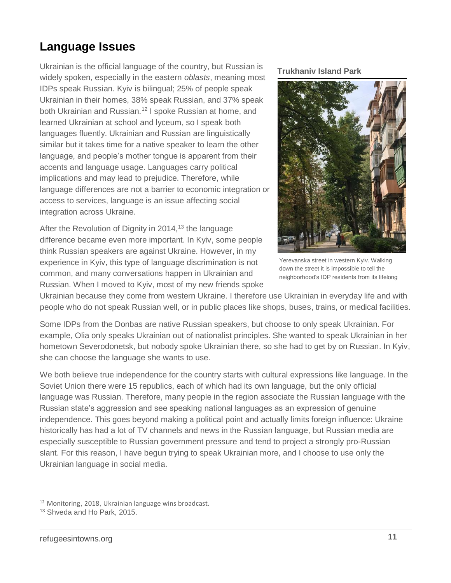### **Language Issues**

Ukrainian is the official language of the country, but Russian is widely spoken, especially in the eastern *oblasts*, meaning most IDPs speak Russian. Kyiv is bilingual; 25% of people speak Ukrainian in their homes, 38% speak Russian, and 37% speak both Ukrainian and Russian.<sup>12</sup> I spoke Russian at home, and learned Ukrainian at school and lyceum, so I speak both languages fluently. Ukrainian and Russian are linguistically similar but it takes time for a native speaker to learn the other language, and people's mother tongue is apparent from their accents and language usage. Languages carry political implications and may lead to prejudice. Therefore, while language differences are not a barrier to economic integration or access to services, language is an issue affecting social integration across Ukraine.

After the Revolution of Dignity in 2014,<sup>13</sup> the language difference became even more important. In Kyiv, some people think Russian speakers are against Ukraine. However, in my experience in Kyiv, this type of language discrimination is not common, and many conversations happen in Ukrainian and Russian. When I moved to Kyiv, most of my new friends spoke **Trukhaniv Island Park**



Yerevanska street in western Kyiv. Walking down the street it is impossible to tell the neighborhood's IDP residents from its lifelong

Ukrainian because they come from western Ukraine. I therefore use Ukrainian in everyday life and with people who do not speak Russian well, or in public places like shops, buses, trains, or medical facilities.

Some IDPs from the Donbas are native Russian speakers, but choose to only speak Ukrainian. For example, Olia only speaks Ukrainian out of nationalist principles. She wanted to speak Ukrainian in her hometown Severodonetsk, but nobody spoke Ukrainian there, so she had to get by on Russian. In Kyiv, she can choose the language she wants to use.

We both believe true independence for the country starts with cultural expressions like language. In the Soviet Union there were 15 republics, each of which had its own language, but the only official language was Russian. Therefore, many people in the region associate the Russian language with the Russian state's aggression and see speaking national languages as an expression of genuine independence. This goes beyond making a political point and actually limits foreign influence: Ukraine historically has had a lot of TV channels and news in the Russian language, but Russian media are especially susceptible to Russian government pressure and tend to project a strongly pro-Russian slant. For this reason, I have begun trying to speak Ukrainian more, and I choose to use only the Ukrainian language in social media.

<sup>12</sup> Monitoring, 2018, Ukrainian language wins broadcast.

<sup>13</sup> Shveda and Ho Park, 2015.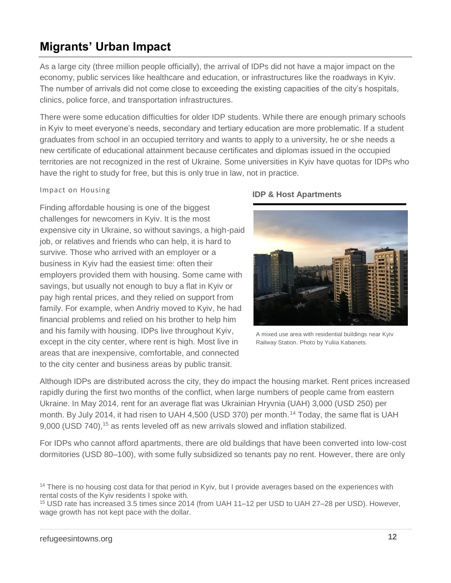## **Migrants' Urban Impact**

As a large city (three million people officially), the arrival of IDPs did not have a major impact on the economy, public services like healthcare and education, or infrastructures like the roadways in Kyiv. The number of arrivals did not come close to exceeding the existing capacities of the city's hospitals, clinics, police force, and transportation infrastructures.

There were some education difficulties for older IDP students. While there are enough primary schools in Kyiv to meet everyone's needs, secondary and tertiary education are more problematic. If a student graduates from school in an occupied territory and wants to apply to a university, he or she needs a new certificate of educational attainment because certificates and diplomas issued in the occupied territories are not recognized in the rest of Ukraine. Some universities in Kyiv have quotas for IDPs who have the right to study for free, but this is only true in law, not in practice.

#### Impact on Housing

Finding affordable housing is one of the biggest challenges for newcomers in Kyiv. It is the most expensive city in Ukraine, so without savings, a high-paid job, or relatives and friends who can help, it is hard to survive. Those who arrived with an employer or a business in Kyiv had the easiest time: often their employers provided them with housing. Some came with savings, but usually not enough to buy a flat in Kyiv or pay high rental prices, and they relied on support from family. For example, when Andriy moved to Kyiv, he had financial problems and relied on his brother to help him and his family with housing. IDPs live throughout Kyiv, except in the city center, where rent is high. Most live in areas that are inexpensive, comfortable, and connected to the city center and business areas by public transit.

#### **IDP & Host Apartments**



A mixed use area with residential buildings near Kyiv Railway Station. Photo by Yuliia Kabanets.

Although IDPs are distributed across the city, they do impact the housing market. Rent prices increased rapidly during the first two months of the conflict, when large numbers of people came from eastern Ukraine. In May 2014, rent for an average flat was Ukrainian Hryvnia (UAH) 3,000 (USD 250) per month. By July 2014, it had risen to UAH 4,500 (USD 370) per month.<sup>14</sup> Today, the same flat is UAH 9,000 (USD 740),<sup>15</sup> as rents leveled off as new arrivals slowed and inflation stabilized.

For IDPs who cannot afford apartments, there are old buildings that have been converted into low-cost dormitories (USD 80–100), with some fully subsidized so tenants pay no rent. However, there are only

<sup>15</sup> USD rate has increased 3.5 times since 2014 (from UAH 11–12 per USD to UAH 27–28 per USD). However, wage growth has not kept pace with the dollar.

<sup>&</sup>lt;sup>14</sup> There is no housing cost data for that period in Kyiv, but I provide averages based on the experiences with rental costs of the Kyiv residents I spoke with.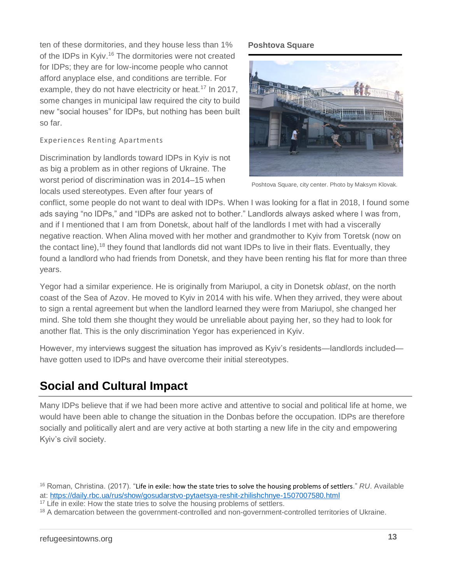ten of these dormitories, and they house less than 1% of the IDPs in Kyiv.<sup>16</sup> The dormitories were not created for IDPs; they are for low-income people who cannot afford anyplace else, and conditions are terrible. For example, they do not have electricity or heat.<sup>17</sup> In 2017, some changes in municipal law required the city to build new "social houses" for IDPs, but nothing has been built so far.

#### Experiences Renting Apartments

Discrimination by landlords toward IDPs in Kyiv is not as big a problem as in other regions of Ukraine. The worst period of discrimination was in 2014–15 when locals used stereotypes. Even after four years of

#### **Poshtova Square**



Poshtova Square, city center. Photo by Maksym Klovak.

conflict, some people do not want to deal with IDPs. When I was looking for a flat in 2018, I found some ads saying "no IDPs," and "IDPs are asked not to bother." Landlords always asked where I was from, and if I mentioned that I am from Donetsk, about half of the landlords I met with had a viscerally negative reaction. When Alina moved with her mother and grandmother to Kyiv from Toretsk (now on the contact line),<sup>18</sup> they found that landlords did not want IDPs to live in their flats. Eventually, they found a landlord who had friends from Donetsk, and they have been renting his flat for more than three years.

Yegor had a similar experience. He is originally from Mariupol, a city in Donetsk *oblast*, on the north coast of the Sea of Azov. He moved to Kyiv in 2014 with his wife. When they arrived, they were about to sign a rental agreement but when the landlord learned they were from Mariupol, she changed her mind. She told them she thought they would be unreliable about paying her, so they had to look for another flat. This is the only discrimination Yegor has experienced in Kyiv.

However, my interviews suggest the situation has improved as Kyiv's residents—landlords included have gotten used to IDPs and have overcome their initial stereotypes.

## **Social and Cultural Impact**

Many IDPs believe that if we had been more active and attentive to social and political life at home, we would have been able to change the situation in the Donbas before the occupation. IDPs are therefore socially and politically alert and are very active at both starting a new life in the city and empowering Kyiv's civil society.

<sup>16</sup> Roman, Christina. (2017). "Life in exile: how the state tries to solve the housing problems of settlers." *RU*. Available at:<https://daily.rbc.ua/rus/show/gosudarstvo-pytaetsya-reshit-zhilishchnye-1507007580.html>

 $17$  Life in exile: How the state tries to solve the housing problems of settlers.

<sup>&</sup>lt;sup>18</sup> A demarcation between the government-controlled and non-government-controlled territories of Ukraine.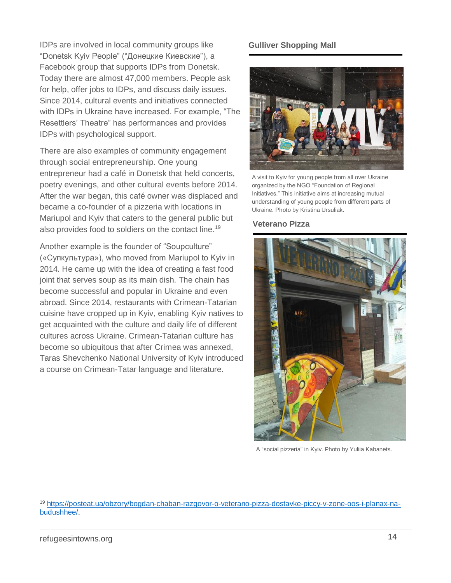IDPs are involved in local community groups like "Donetsk Kyiv People" ("Донецкие Киевские"), a Facebook group that supports IDPs from Donetsk. Today there are almost 47,000 members. People ask for help, offer jobs to IDPs, and discuss daily issues. Since 2014, cultural events and initiatives connected with IDPs in Ukraine have increased. For example, "The Resettlers' Theatre" has performances and provides IDPs with psychological support.

There are also examples of community engagement through social entrepreneurship. One young entrepreneur had a café in Donetsk that held concerts, poetry evenings, and other cultural events before 2014. After the war began, this café owner was displaced and became a co-founder of a pizzeria with locations in Mariupol and Kyiv that caters to the general public but also provides food to soldiers on the contact line.<sup>19</sup>

Another example is the founder of "Soupculture" («Супкультура»), who moved from Mariupol to Kyiv in 2014. He came up with the idea of creating a fast food joint that serves soup as its main dish. The chain has become successful and popular in Ukraine and even abroad. Since 2014, restaurants with Crimean-Tatarian cuisine have cropped up in Kyiv, enabling Kyiv natives to get acquainted with the culture and daily life of different cultures across Ukraine. Crimean-Tatarian culture has become so ubiquitous that after Crimea was annexed, Taras Shevchenko National University of Kyiv introduced a course on Crimean-Tatar language and literature.

#### **Gulliver Shopping Mall**



A visit to Kyiv for young people from all over Ukraine organized by the NGO "Foundation of Regional Initiatives." This initiative aims at increasing mutual understanding of young people from different parts of Ukraine. Photo by Kristina Ursuliak.

#### **Veterano Pizza**



A "social pizzeria" in Kyiv. Photo by Yuliia Kabanets.

<sup>19</sup> [https://posteat.ua/obzory/bogdan-chaban-razgovor-o-veterano-pizza-dostavke-piccy-v-zone-oos-i-planax-na](https://posteat.ua/obzory/bogdan-chaban-razgovor-o-veterano-pizza-dostavke-piccy-v-zone-oos-i-planax-na-budushhee/)[budushhee/.](https://posteat.ua/obzory/bogdan-chaban-razgovor-o-veterano-pizza-dostavke-piccy-v-zone-oos-i-planax-na-budushhee/)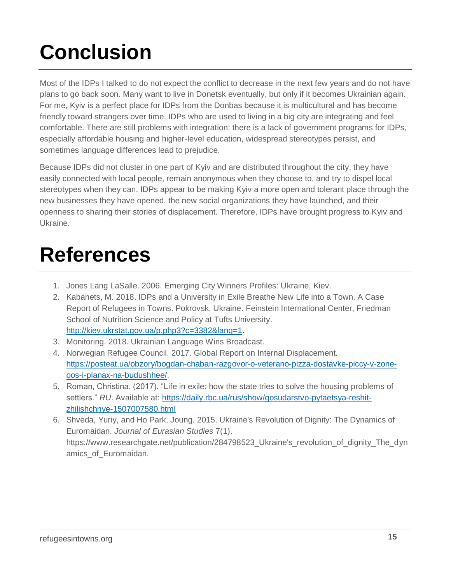# **Conclusion**

Most of the IDPs I talked to do not expect the conflict to decrease in the next few years and do not have plans to go back soon. Many want to live in Donetsk eventually, but only if it becomes Ukrainian again. For me, Kyiv is a perfect place for IDPs from the Donbas because it is multicultural and has become friendly toward strangers over time. IDPs who are used to living in a big city are integrating and feel comfortable. There are still problems with integration: there is a lack of government programs for IDPs, especially affordable housing and higher-level education, widespread stereotypes persist, and sometimes language differences lead to prejudice.

Because IDPs did not cluster in one part of Kyiv and are distributed throughout the city, they have easily connected with local people, remain anonymous when they choose to, and try to dispel local stereotypes when they can. IDPs appear to be making Kyiv a more open and tolerant place through the new businesses they have opened, the new social organizations they have launched, and their openness to sharing their stories of displacement. Therefore, IDPs have brought progress to Kyiv and Ukraine.

## **References**

- 1. Jones Lang LaSalle. 2006. Emerging City Winners Profiles: Ukraine, Kiev.
- 2. Kabanets, M. 2018. IDPs and a University in Exile Breathe New Life into a Town. A Case Report of Refugees in Towns. Pokrovsk, Ukraine. Feinstein International Center, Friedman School of Nutrition Science and Policy at Tufts University. [http://kiev.ukrstat.gov.ua/p.php3?c=3382&lang=1.](http://kiev.ukrstat.gov.ua/p.php3?c=3382&lang=1)
- 3. Monitoring. 2018. Ukrainian Language Wins Broadcast.
- 4. Norwegian Refugee Council. 2017. Global Report on Internal Displacement. [https://posteat.ua/obzory/bogdan-chaban-razgovor-o-veterano-pizza-dostavke-piccy-v-zone](https://posteat.ua/obzory/bogdan-chaban-razgovor-o-veterano-pizza-dostavke-piccy-v-zone-oos-i-planax-na-budushhee/)[oos-i-planax-na-budushhee/.](https://posteat.ua/obzory/bogdan-chaban-razgovor-o-veterano-pizza-dostavke-piccy-v-zone-oos-i-planax-na-budushhee/)
- 5. Roman, Christina. (2017). "Life in exile: how the state tries to solve the housing problems of settlers." *RU*. Available at: [https://daily.rbc.ua/rus/show/gosudarstvo-pytaetsya-reshit](https://daily.rbc.ua/rus/show/gosudarstvo-pytaetsya-reshit-zhilishchnye-1507007580.html)[zhilishchnye-1507007580.html](https://daily.rbc.ua/rus/show/gosudarstvo-pytaetsya-reshit-zhilishchnye-1507007580.html)
- 6. Shveda, Yuriy, and Ho Park, Joung. 2015. Ukraine's Revolution of Dignity: The Dynamics of Euromaidan. *Journal of Eurasian Studies* 7(1). https://www.researchgate.net/publication/284798523 Ukraine's revolution of dignity The dyn amics\_of\_Euromaidan.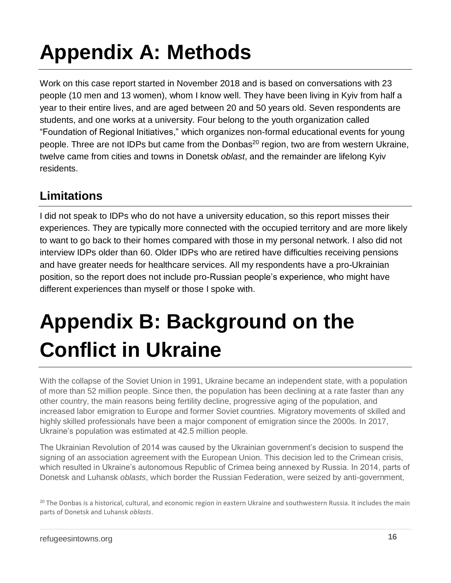# **Appendix A: Methods**

Work on this case report started in November 2018 and is based on conversations with 23 people (10 men and 13 women), whom I know well. They have been living in Kyiv from half a year to their entire lives, and are aged between 20 and 50 years old. Seven respondents are students, and one works at a university. Four belong to the youth organization called "Foundation of Regional Initiatives," which organizes non-formal educational events for young people. Three are not IDPs but came from the Donbas<sup>20</sup> region, two are from western Ukraine, twelve came from cities and towns in Donetsk *oblast*, and the remainder are lifelong Kyiv residents.

### **Limitations**

I did not speak to IDPs who do not have a university education, so this report misses their experiences. They are typically more connected with the occupied territory and are more likely to want to go back to their homes compared with those in my personal network. I also did not interview IDPs older than 60. Older IDPs who are retired have difficulties receiving pensions and have greater needs for healthcare services. All my respondents have a pro-Ukrainian position, so the report does not include pro-Russian people's experience, who might have different experiences than myself or those I spoke with.

# **Appendix B: Background on the Conflict in Ukraine**

With the collapse of the Soviet Union in 1991, Ukraine became an independent state, with a population of more than 52 million people. Since then, the population has been declining at a rate faster than any other country, the main reasons being fertility decline, progressive aging of the population, and increased labor emigration to Europe and former Soviet countries. Migratory movements of skilled and highly skilled professionals have been a major component of emigration since the 2000s. In 2017, Ukraine's population was estimated at 42.5 million people.

The Ukrainian Revolution of 2014 was caused by the Ukrainian government's decision to suspend the signing of an association agreement with the European Union. This decision led to the Crimean crisis, which resulted in Ukraine's autonomous Republic of Crimea being annexed by Russia. In 2014, parts of Donetsk and Luhansk *oblasts*, which border the Russian Federation, were seized by anti-government,

<sup>20</sup> The Donbas is a historical, cultural, and economic region in eastern Ukraine and southwestern Russia. It includes the main parts of Donetsk and Luhansk *oblasts*.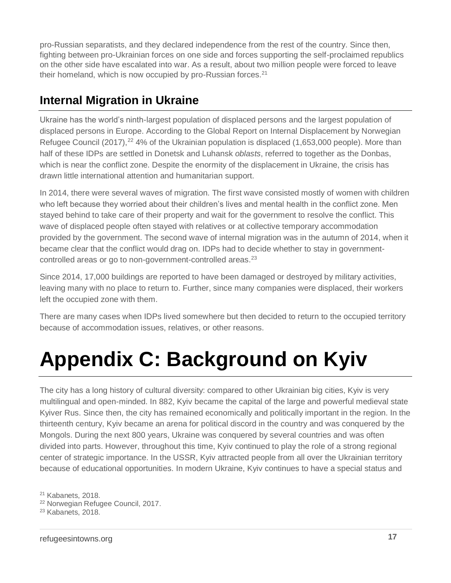pro-Russian separatists, and they declared independence from the rest of the country. Since then, fighting between pro-Ukrainian forces on one side and forces supporting the self-proclaimed republics on the other side have escalated into war. As a result, about two million people were forced to leave their homeland, which is now occupied by pro-Russian forces.<sup>21</sup>

### **Internal Migration in Ukraine**

Ukraine has the world's ninth-largest population of displaced persons and the largest population of displaced persons in Europe. According to the Global Report on Internal Displacement by Norwegian Refugee Council (2017),<sup>22</sup> 4% of the Ukrainian population is displaced (1,653,000 people). More than half of these IDPs are settled in Donetsk and Luhansk *oblasts*, referred to together as the Donbas, which is near the conflict zone. Despite the enormity of the displacement in Ukraine, the crisis has drawn little international attention and humanitarian support.

In 2014, there were several waves of migration. The first wave consisted mostly of women with children who left because they worried about their children's lives and mental health in the conflict zone. Men stayed behind to take care of their property and wait for the government to resolve the conflict. This wave of displaced people often stayed with relatives or at collective temporary accommodation provided by the government. The second wave of internal migration was in the autumn of 2014, when it became clear that the conflict would drag on. IDPs had to decide whether to stay in governmentcontrolled areas or go to non-government-controlled areas.<sup>23</sup>

Since 2014, 17,000 buildings are reported to have been damaged or destroyed by military activities, leaving many with no place to return to. Further, since many companies were displaced, their workers left the occupied zone with them.

There are many cases when IDPs lived somewhere but then decided to return to the occupied territory because of accommodation issues, relatives, or other reasons.

## **Appendix C: Background on Kyiv**

The city has a long history of cultural diversity: compared to other Ukrainian big cities, Kyiv is very multilingual and open-minded. In 882, Kyiv became the capital of the large and powerful medieval state Kyiver Rus. Since then, the city has remained economically and politically important in the region. In the thirteenth century, Kyiv became an arena for political discord in the country and was conquered by the Mongols. During the next 800 years, Ukraine was conquered by several countries and was often divided into parts. However, throughout this time, Kyiv continued to play the role of a strong regional center of strategic importance. In the USSR, Kyiv attracted people from all over the Ukrainian territory because of educational opportunities. In modern Ukraine, Kyiv continues to have a special status and

<sup>21</sup> Kabanets, 2018.

<sup>22</sup> Norwegian Refugee Council, 2017.

<sup>&</sup>lt;sup>23</sup> Kabanets, 2018.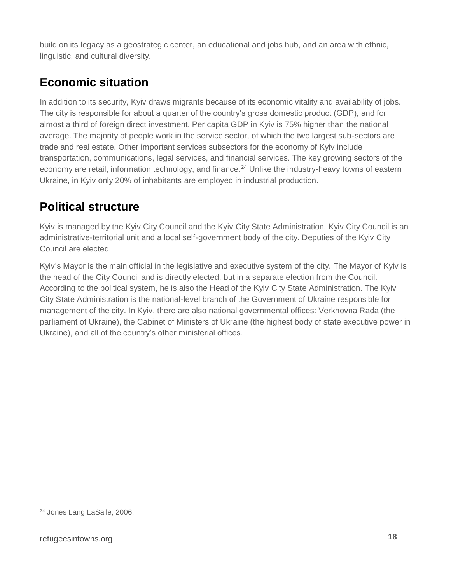build on its legacy as a geostrategic center, an educational and jobs hub, and an area with ethnic, linguistic, and cultural diversity.

## **Economic situation**

In addition to its security, Kyiv draws migrants because of its economic vitality and availability of jobs. The city is responsible for about a quarter of the country's gross domestic product (GDP), and for almost a third of foreign direct investment. Per capita GDP in Kyiv is 75% higher than the national average. The majority of people work in the service sector, of which the two largest sub-sectors are trade and real estate. Other important services subsectors for the economy of Kyiv include transportation, communications, legal services, and financial services. The key growing sectors of the economy are retail, information technology, and finance.<sup>24</sup> Unlike the industry-heavy towns of eastern Ukraine, in Kyiv only 20% of inhabitants are employed in industrial production.

### **Political structure**

Kyiv is managed by the Kyiv City Council and the Kyiv City State Administration. Kyiv City Council is an administrative-territorial unit and a local self-government body of the city. Deputies of the Kyiv City Council are elected.

Kyiv's Mayor is the main official in the legislative and executive system of the city. The Mayor of Kyiv is the head of the City Council and is directly elected, but in a separate election from the Council. According to the political system, he is also the Head of the Kyiv City State Administration. The Kyiv City State Administration is the national-level branch of the Government of Ukraine responsible for management of the city. In Kyiv, there are also national governmental offices: Verkhovna Rada (the parliament of Ukraine), the Cabinet of Ministers of Ukraine (the highest body of state executive power in Ukraine), and all of the country's other ministerial offices.

<sup>24</sup> Jones Lang LaSalle, 2006.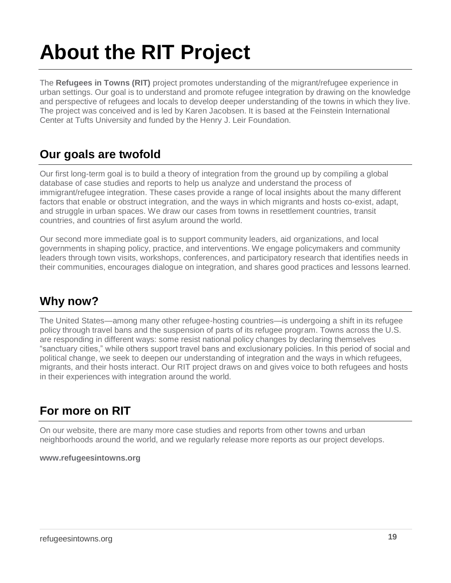# **About the RIT Project**

The **Refugees in Towns (RIT)** project promotes understanding of the migrant/refugee experience in urban settings. Our goal is to understand and promote refugee integration by drawing on the knowledge and perspective of refugees and locals to develop deeper understanding of the towns in which they live. The project was conceived and is led by Karen Jacobsen. It is based at the Feinstein International Center at Tufts University and funded by the Henry J. Leir Foundation.

### **Our goals are twofold**

Our first long-term goal is to build a theory of integration from the ground up by compiling a global database of case studies and reports to help us analyze and understand the process of immigrant/refugee integration. These cases provide a range of local insights about the many different factors that enable or obstruct integration, and the ways in which migrants and hosts co-exist, adapt, and struggle in urban spaces. We draw our cases from towns in resettlement countries, transit countries, and countries of first asylum around the world.

Our second more immediate goal is to support community leaders, aid organizations, and local governments in shaping policy, practice, and interventions. We engage policymakers and community leaders through town visits, workshops, conferences, and participatory research that identifies needs in their communities, encourages dialogue on integration, and shares good practices and lessons learned.

### **Why now?**

The United States—among many other refugee-hosting countries—is undergoing a shift in its refugee policy through travel bans and the suspension of parts of its refugee program. Towns across the U.S. are responding in different ways: some resist national policy changes by declaring themselves "sanctuary cities," while others support travel bans and exclusionary policies. In this period of social and political change, we seek to deepen our understanding of integration and the ways in which refugees, migrants, and their hosts interact. Our RIT project draws on and gives voice to both refugees and hosts in their experiences with integration around the world.

### **For more on RIT**

On our website, there are many more case studies and reports from other towns and urban neighborhoods around the world, and we regularly release more reports as our project develops.

#### **[www.refugeesintowns.org](file:///C:/Users/aradda01/AppData/Local/Microsoft/Windows/Temporary%20Internet%20Files/Content.Outlook/CKFLL0OT/www.refugeesintowns.org)**